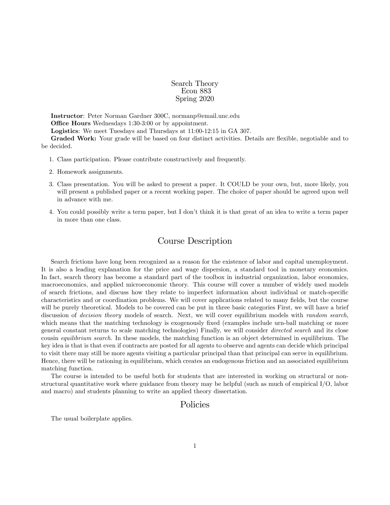Search Theory Econ 883 Spring 2020

Instructor: Peter Norman Gardner 300C, normanp@email.unc.edu Office Hours Wednesdays 1:30-3:00 or by appointment. Logistics: We meet Tuesdays and Thursdays at 11:00-12:15 in GA 307. Graded Work: Your grade will be based on four distinct activities. Details are flexible, negotiable and to be decided.

- 1. Class participation. Please contribute constructively and frequently.
- 2. Homework assignments.
- 3. Class presentation. You will be asked to present a paper. It COULD be your own, but, more likely, you will present a published paper or a recent working paper. The choice of paper should be agreed upon well in advance with me.
- 4. You could possibly write a term paper, but I donít think it is that great of an idea to write a term paper in more than one class.

# Course Description

Search frictions have long been recognized as a reason for the existence of labor and capital unemployment. It is also a leading explanation for the price and wage dispersion, a standard tool in monetary economics. In fact, search theory has become a standard part of the toolbox in industrial organization, labor economics, macroeconomics, and applied microeconomic theory. This course will cover a number of widely used models of search frictions, and discuss how they relate to imperfect information about individual or match-specific characteristics and or coordination problems. We will cover applications related to many fields, but the course will be purely theoretical. Models to be covered can be put in three basic categories First, we will have a brief discussion of *decision theory* models of search. Next, we will cover equilibrium models with *random search*, which means that the matching technology is exogenously fixed (examples include urn-ball matching or more general constant returns to scale matching technologies) Finally, we will consider directed search and its close cousin *equilibrium search*. In these models, the matching function is an object determined in equilibrium. The key idea is that is that even if contracts are posted for all agents to observe and agents can decide which principal to visit there may still be more agents visiting a particular principal than that principal can serve in equilibrium. Hence, there will be rationing in equilibrium, which creates an endogenous friction and an associated equilibrium matching function.

The course is intended to be useful both for students that are interested in working on structural or nonstructural quantitative work where guidance from theory may be helpful (such as much of empirical I/O, labor and macro) and students planning to write an applied theory dissertation.

# Policies

The usual boilerplate applies.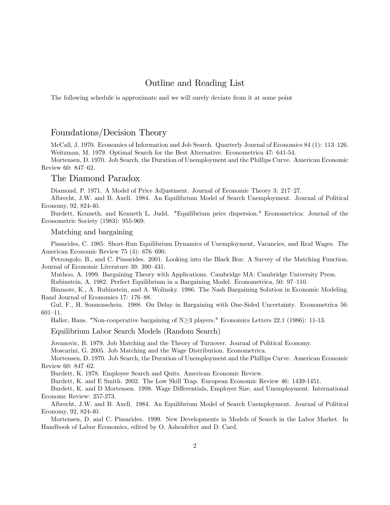# Outline and Reading List

The following schedule is approximate and we will surely deviate from it at some point

### Foundations/Decision Theory

McCall, J. 1970. Economics of Information and Job Search. Quarterly Journal of Economics 84 (1): 113–126. Weitzman, M. 1979. Optimal Search for the Best Alternative. Econometrica 47: 641-54.

Mortensen, D. 1970. Job Search, the Duration of Unemployment and the Phillips Curve. American Economic Review 60: 847-62.

### The Diamond Paradox

Diamond, P. 1971. A Model of Price Adjustment. Journal of Economic Theory 3: 217–27.

Albrecht, J.W. and B. Axell. 1984. An Equilibrium Model of Search Unemployment. Journal of Political Economy, 92, 824-40.

Burdett, Kenneth, and Kenneth L. Judd. "Equilibrium price dispersion." Econometrica: Journal of the Econometric Society (1983): 955-969.

Matching and bargaining

Pissarides, C. 1985. Short-Run Equilibrium Dynamics of Unemployment, Vacancies, and Real Wages. The American Economic Review 75 (4): 676-690.

Petrongolo, B., and C. Pissarides. 2001. Looking into the Black Box: A Survey of the Matching Function. Journal of Economic Literature 39: 390-431.

Muthoo, A. 1999. Bargaining Theory with Applications. Cambridge MA: Cambridge University Press.

Rubinstein, A. 1982. Perfect Equilibrium in a Bargaining Model. Econometrica, 50: 97–110.

Binmore, K., A. Rubinstein, and A. Wolinsky. 1986. The Nash Bargaining Solution in Economic Modeling. Rand Journal of Economics 17: 176–88.

Gul, F., H. Sonnenschein. 1988. On Delay in Bargaining with One-Sided Uncertainty. Econometrica 56:  $601 - 11.$ 

Haller, Hans. "Non-cooperative bargaining of  $N\geq 3$  players." Economics Letters 22.1 (1986): 11-13.

Equilibrium Labor Search Models (Random Search)

Jovanovic, B. 1979. Job Matching and the Theory of Turnover. Journal of Political Economy.

Moscarini, G. 2005. Job Matching and the Wage Distribution. Econometrica.

Mortensen, D. 1970. Job Search, the Duration of Unemployment and the Phillips Curve. American Economic Review 60: 847-62.

Burdett, K. 1978. Employee Search and Quits. American Economic Review.

Burdett, K. and E Smith. 2002. The Low Skill Trap. European Economic Review 46: 1439-1451.

Burdett, K. and D Mortensen. 1998. Wage Differentials, Employer Size, and Unemployment. International Economc Review: 257-273.

Albrecht, J.W. and B. Axell. 1984. An Equilibrium Model of Search Unemployment. Journal of Political Economy, 92, 824-40.

Mortensen, D. and C. Pissarides. 1999. New Developments in Models of Search in the Labor Market. In Handbook of Labor Economics, edited by O. Ashenfelter and D. Card.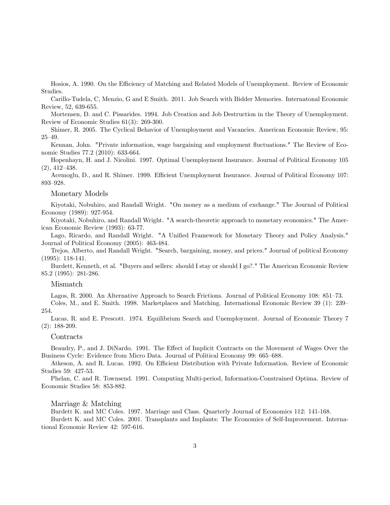Hosios, A. 1990. On the Efficiency of Matching and Related Models of Unemployment. Review of Economic Studies.

Carillo-Tudela, C, Menzio, G and E Smith. 2011. Job Search with Bidder Memories. Internatonal Economic Review, 52, 639-655.

Mortensen, D. and C. Pissarides. 1994. Job Creation and Job Destruction in the Theory of Unemployment. Review of Economic Studies 61(3): 269-300.

Shimer, R. 2005. The Cyclical Behavior of Unemployment and Vacancies. American Economic Review, 95:  $25 - 49.$ 

Kennan, John. "Private information, wage bargaining and employment fluctuations." The Review of Economic Studies 77.2 (2010): 633-664.

Hopenhayn, H. and J. Nicolini. 1997. Optimal Unemployment Insurance. Journal of Political Economy 105  $(2), 412-438.$ 

Acemoglu, D., and R. Shimer. 1999. Efficient Unemployment Insurance. Journal of Political Economy 107: 893–928.

#### Monetary Models

Kiyotaki, Nobuhiro, and Randall Wright. "On money as a medium of exchange." The Journal of Political Economy (1989): 927-954.

Kiyotaki, Nobuhiro, and Randall Wright. "A search-theoretic approach to monetary economics." The American Economic Review (1993): 63-77.

Lago, Ricardo, and Randall Wright. "A Unified Framework for Monetary Theory and Policy Analysis." Journal of Political Economy (2005): 463-484.

Trejos, Alberto, and Randall Wright. "Search, bargaining, money, and prices." Journal of political Economy (1995): 118-141.

Burdett, Kenneth, et al. "Buyers and sellers: should I stay or should I go?." The American Economic Review 85.2 (1995): 281-286.

#### Mismatch

Lagos, R. 2000. An Alternative Approach to Search Frictions. Journal of Political Economy 108: 851–73.

Coles, M., and E. Smith. 1998. Marketplaces and Matching. International Economic Review 39 (1): 239 254.

Lucas, R. and E. Prescott. 1974. Equilibrium Search and Unemployment. Journal of Economic Theory 7 (2): 188-209.

#### **Contracts**

Beaudry, P., and J. DiNardo. 1991. The Effect of Implicit Contracts on the Movement of Wages Over the Business Cycle: Evidence from Micro Data. Journal of Political Economy 99: 665–688.

Atkeson, A. and R. Lucas. 1992. On Efficient Distribution with Private Information. Review of Economic Studies 59: 427-53.

Phelan, C. and R. Townsend. 1991. Computing Multi-period, Information-Constrained Optima. Review of Economic Studies 58: 853-882.

#### Marriage & Matching

Burdett K. and MC Coles. 1997. Marriage and Class. Quarterly Journal of Economics 112: 141-168.

Burdett K. and MC Coles. 2001. Transplants and Implants: The Economics of Self-Improvement. International Economic Review 42: 597-616.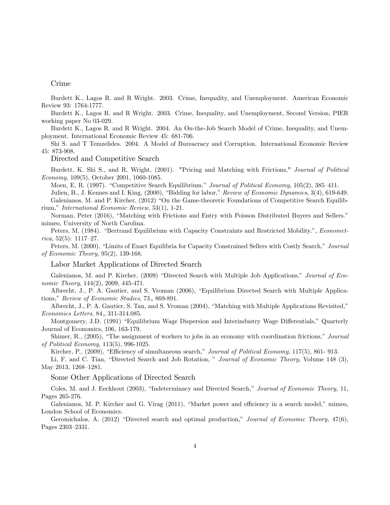#### Crime

Burdett K., Lagos R. and R Wright. 2003. Crime, Inequality, and Unemployment. American Economic Review 93: 1764-1777.

Burdett K., Lagos R. and R Wright. 2003. Crime, Inequality, and Unemployment, Second Version, PIER working paper No 03-029.

Burdett K., Lagos R. and R Wright. 2004. An On-the-Job Search Model of Crime, Inequality, and Unemployment. International Economic Review 45: 681-706.

Shi S. and T Temzelides. 2004. A Model of Bureacracy and Corruption. International Economic Review 45: 873-908.

Directed and Competitive Search

Burdett, K. Shi S., and R. Wright, (2001). "Pricing and Matching with Frictions," Journal of Political *Economy*, 109(5), October 2001, 1060-1085.

Moen, E. R. (1997). "Competitive Search Equilibrium." Journal of Political Economy, 105(2), 385-411. Julien, B., J. Kennes and I. King, (2000), "Bidding for labor," Review of Economic Dynamics, 3(4), 619-649. Galenianos, M. and P. Kircher, (2012) "On the Game-theoretic Foundations of Competitive Search Equilibrium," *International Economic Review*, 53(1), 1-21.

Norman, Peter (2016), "Matching with Frictions and Entry with Poisson Distributed Buyers and Sellers." mimeo, University of North Carolina.

Peters, M. (1984). "Bertrand Equilibrium with Capacity Constraints and Restricted Mobility.", Economet*rica*,  $52(5)$ :  $1117-27$ .

Peters, M. (2000), "Limits of Exact Equilibria for Capacity Constrained Sellers with Costly Search," Journal of Economic Theory,  $95(2)$ , 139-168.

Labor Market Applications of Directed Search

Galenianos, M. and P. Kircher, (2009) "Directed Search with Multiple Job Applications," Journal of Economic Theory, 144(2), 2009, 445-471.

Albrecht, J., P. A. Gautier, and S. Vroman (2006), "Equilibrium Directed Search with Multiple Applications," Review of Economic Studies, 73,, 869-891.

Albrecht, J., P. A. Gautier, S. Tan, and S. Vroman (2004), "Matching with Multiple Applications Revisited," Economics Letters, 84,, 311-314.085.

Montgomery, J.D. (1991) "Equilibrium Wage Dispersion and Interindustry Wage Differentials," Quarterly Journal of Economics, 106, 163-179.

Shimer, R., (2005), "The assignment of workers to jobs in an economy with coordination frictions," Journal of Political Economy, 113(5), 996-1025.

Kircher, P., (2009), "Efficiency of simultaneous search," Journal of Political Economy, 117(5), 861-913.

Li, F. and C. Tian, "Directed Search and Job Rotation," Journal of Economic Theory, Volume 148 (3), May 2013, 1268-1281.

Some Other Applications of Directed Search

Coles, M. and J. Eeckhout (2003), "Indeterminacy and Directed Search," Journal of Economic Theory, 11, Pages 265-276.

Galenianos, M. P. Kircher and G. Virag (2011), "Market power and efficiency in a search model," mimeo, London School of Economics.

Geromichalos, A. (2012) "Directed search and optimal production," Journal of Economic Theory, 47(6), Pages 2303-2331.